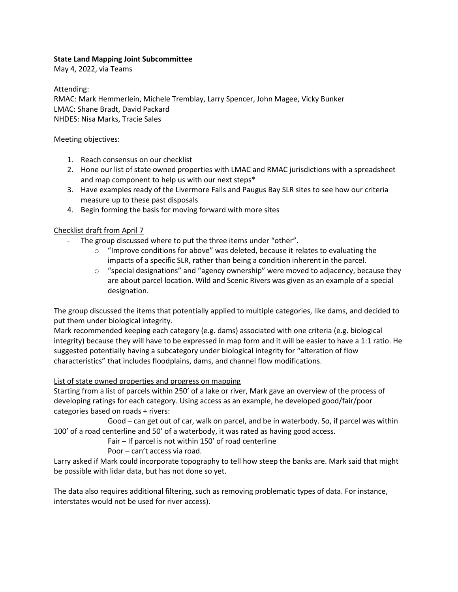## **State Land Mapping Joint Subcommittee**

May 4, 2022, via Teams

Attending:

RMAC: Mark Hemmerlein, Michele Tremblay, Larry Spencer, John Magee, Vicky Bunker LMAC: Shane Bradt, David Packard NHDES: Nisa Marks, Tracie Sales

Meeting objectives:

- 1. Reach consensus on our checklist
- 2. Hone our list of state owned properties with LMAC and RMAC jurisdictions with a spreadsheet and map component to help us with our next steps\*
- 3. Have examples ready of the Livermore Falls and Paugus Bay SLR sites to see how our criteria measure up to these past disposals
- 4. Begin forming the basis for moving forward with more sites

## Checklist draft from April 7

- The group discussed where to put the three items under "other".
	- o "Improve conditions for above" was deleted, because it relates to evaluating the impacts of a specific SLR, rather than being a condition inherent in the parcel.
	- $\circ$  "special designations" and "agency ownership" were moved to adjacency, because they are about parcel location. Wild and Scenic Rivers was given as an example of a special designation.

The group discussed the items that potentially applied to multiple categories, like dams, and decided to put them under biological integrity.

Mark recommended keeping each category (e.g. dams) associated with one criteria (e.g. biological integrity) because they will have to be expressed in map form and it will be easier to have a 1:1 ratio. He suggested potentially having a subcategory under biological integrity for "alteration of flow characteristics" that includes floodplains, dams, and channel flow modifications.

# List of state owned properties and progress on mapping

Starting from a list of parcels within 250' of a lake or river, Mark gave an overview of the process of developing ratings for each category. Using access as an example, he developed good/fair/poor categories based on roads + rivers:

Good – can get out of car, walk on parcel, and be in waterbody. So, if parcel was within 100' of a road centerline and 50' of a waterbody, it was rated as having good access.

Fair – If parcel is not within 150' of road centerline

Poor – can't access via road.

Larry asked if Mark could incorporate topography to tell how steep the banks are. Mark said that might be possible with lidar data, but has not done so yet.

The data also requires additional filtering, such as removing problematic types of data. For instance, interstates would not be used for river access).